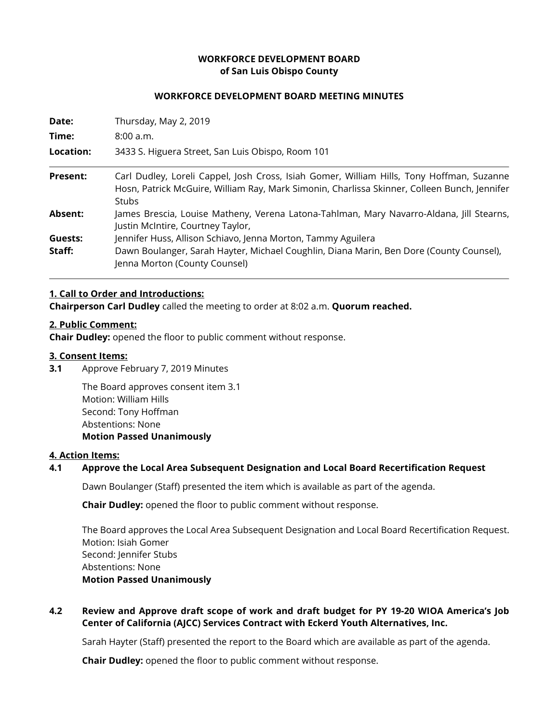### **WORKFORCE DEVELOPMENT BOARD of San Luis Obispo County**

### **WORKFORCE DEVELOPMENT BOARD MEETING MINUTES**

| Date:<br>Time:<br>Location: | Thursday, May 2, 2019<br>8:00a.m.<br>3433 S. Higuera Street, San Luis Obispo, Room 101                                   |                 |                                                                                                                                                                                                    |
|-----------------------------|--------------------------------------------------------------------------------------------------------------------------|-----------------|----------------------------------------------------------------------------------------------------------------------------------------------------------------------------------------------------|
|                             |                                                                                                                          | <b>Present:</b> | Carl Dudley, Loreli Cappel, Josh Cross, Isiah Gomer, William Hills, Tony Hoffman, Suzanne<br>Hosn, Patrick McGuire, William Ray, Mark Simonin, Charlissa Skinner, Colleen Bunch, Jennifer<br>Stubs |
|                             |                                                                                                                          | Absent:         | James Brescia, Louise Matheny, Verena Latona-Tahlman, Mary Navarro-Aldana, Jill Stearns,<br>Justin McIntire, Courtney Taylor,                                                                      |
| Guests:                     | Jennifer Huss, Allison Schiavo, Jenna Morton, Tammy Aguilera                                                             |                 |                                                                                                                                                                                                    |
| Staff:                      | Dawn Boulanger, Sarah Hayter, Michael Coughlin, Diana Marin, Ben Dore (County Counsel),<br>Jenna Morton (County Counsel) |                 |                                                                                                                                                                                                    |

### **1. Call to Order and Introductions:**

**Chairperson Carl Dudley** called the meeting to order at 8:02 a.m. **Quorum reached.**

### **2. Public Comment:**

**Chair Dudley:** opened the floor to public comment without response.

### **3. Consent Items:**

**3.1** Approve February 7, 2019 Minutes

The Board approves consent item 3.1 Motion: William Hills Second: Tony Hoffman Abstentions: None **Motion Passed Unanimously** 

### **4. Action Items:**

## **4.1 Approve the Local Area Subsequent Designation and Local Board Recertification Request**

Dawn Boulanger (Staff) presented the item which is available as part of the agenda.

**Chair Dudley:** opened the floor to public comment without response.

The Board approves the Local Area Subsequent Designation and Local Board Recertification Request. Motion: Isiah Gomer Second: Jennifer Stubs Abstentions: None **Motion Passed Unanimously**

# **4.2 Review and Approve draft scope of work and draft budget for PY 19-20 WIOA America's Job Center of California (AJCC) Services Contract with Eckerd Youth Alternatives, Inc.**

Sarah Hayter (Staff) presented the report to the Board which are available as part of the agenda.

**Chair Dudley:** opened the floor to public comment without response.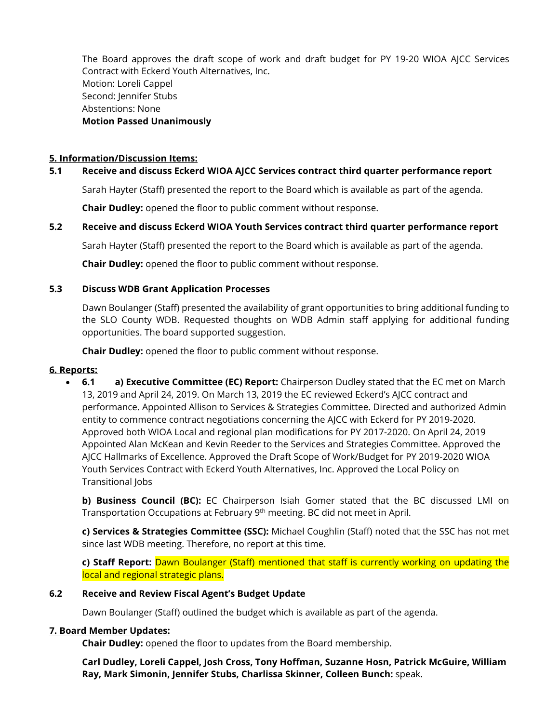The Board approves the draft scope of work and draft budget for PY 19-20 WIOA AJCC Services Contract with Eckerd Youth Alternatives, Inc. Motion: Loreli Cappel Second: Jennifer Stubs Abstentions: None **Motion Passed Unanimously**

## **5. Information/Discussion Items:**

## **5.1 Receive and discuss Eckerd WIOA AJCC Services contract third quarter performance report**

Sarah Hayter (Staff) presented the report to the Board which is available as part of the agenda.

**Chair Dudley:** opened the floor to public comment without response.

### **5.2 Receive and discuss Eckerd WIOA Youth Services contract third quarter performance report**

Sarah Hayter (Staff) presented the report to the Board which is available as part of the agenda.

**Chair Dudley:** opened the floor to public comment without response.

### **5.3 Discuss WDB Grant Application Processes**

Dawn Boulanger (Staff) presented the availability of grant opportunities to bring additional funding to the SLO County WDB. Requested thoughts on WDB Admin staff applying for additional funding opportunities. The board supported suggestion.

**Chair Dudley:** opened the floor to public comment without response.

### **6. Reports:**

• **6.1 a) Executive Committee (EC) Report:** Chairperson Dudley stated that the EC met on March 13, 2019 and April 24, 2019. On March 13, 2019 the EC reviewed Eckerd's AJCC contract and performance. Appointed Allison to Services & Strategies Committee. Directed and authorized Admin entity to commence contract negotiations concerning the AJCC with Eckerd for PY 2019-2020. Approved both WIOA Local and regional plan modifications for PY 2017-2020. On April 24, 2019 Appointed Alan McKean and Kevin Reeder to the Services and Strategies Committee. Approved the AJCC Hallmarks of Excellence. Approved the Draft Scope of Work/Budget for PY 2019-2020 WIOA Youth Services Contract with Eckerd Youth Alternatives, Inc. Approved the Local Policy on Transitional Jobs

**b) Business Council (BC):** EC Chairperson Isiah Gomer stated that the BC discussed LMI on Transportation Occupations at February 9<sup>th</sup> meeting. BC did not meet in April.

**c) Services & Strategies Committee (SSC):** Michael Coughlin (Staff) noted that the SSC has not met since last WDB meeting. Therefore, no report at this time.

**c) Staff Report:** Dawn Boulanger (Staff) mentioned that staff is currently working on updating the local and regional strategic plans.

### **6.2 Receive and Review Fiscal Agent's Budget Update**

Dawn Boulanger (Staff) outlined the budget which is available as part of the agenda.

### **7. Board Member Updates:**

**Chair Dudley:** opened the floor to updates from the Board membership.

**Carl Dudley, Loreli Cappel, Josh Cross, Tony Hoffman, Suzanne Hosn, Patrick McGuire, William Ray, Mark Simonin, Jennifer Stubs, Charlissa Skinner, Colleen Bunch:** speak.